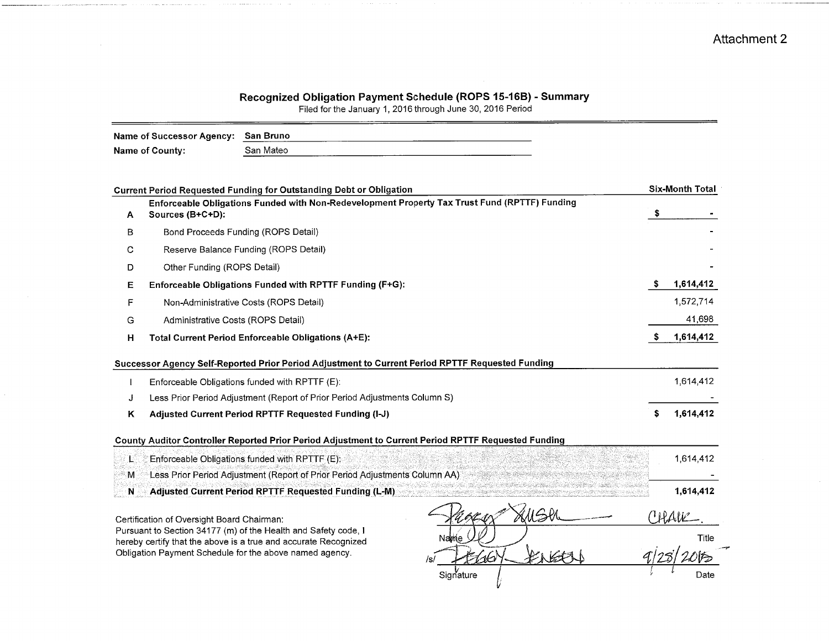## Recognized Obligation Payment Schedule (ROPS 15-16B) - Summary<br>Filed for the January 1, 2016 through June 30, 2016 Period

| Name of Successor Agency: San Bruno |           |
|-------------------------------------|-----------|
| Name of County:                     | San Mateo |

|   | <b>Current Period Requested Funding for Outstanding Debt or Obligation</b>                                                        | <b>Six-Month Total</b> |
|---|-----------------------------------------------------------------------------------------------------------------------------------|------------------------|
| A | Enforceable Obligations Funded with Non-Redevelopment Property Tax Trust Fund (RPTTF) Funding<br>Sources (B+C+D):                 |                        |
| в | Bond Proceeds Funding (ROPS Detail)                                                                                               |                        |
| С | Reserve Balance Funding (ROPS Detail)                                                                                             |                        |
| D | Other Funding (ROPS Detail)                                                                                                       |                        |
| Е | Enforceable Obligations Funded with RPTTF Funding (F+G):                                                                          | 1,614,412              |
| F | Non-Administrative Costs (ROPS Detail)                                                                                            | 1,572,714              |
| G | Administrative Costs (ROPS Detail)                                                                                                | 41,698                 |
| н | Total Current Period Enforceable Obligations (A+E):                                                                               | 1,614,412              |
|   | Successor Agency Self-Reported Prior Period Adjustment to Current Period RPTTF Requested Funding                                  |                        |
|   | Enforceable Obligations funded with RPTTF (E):                                                                                    | 1,614,412              |
| J | Less Prior Period Adjustment (Report of Prior Period Adjustments Column S)                                                        |                        |
| Κ | Adjusted Current Period RPTTF Requested Funding (I-J)                                                                             | 1,614,412              |
|   | County Auditor Controller Reported Prior Period Adjustment to Current Period RPTTF Requested Funding                              |                        |
| T | Enforceable Obligations funded with RPTTF (E):                                                                                    | 1,614,412              |
| М | Less Prior Period Adjustment (Report of Prior Period Adjustments Column AA)                                                       |                        |
| N | Adjusted Current Period RPTTF Requested Funding (L-M)                                                                             | 1,614,412              |
|   | Certification of Oversight Board Chairman:                                                                                        | (WAVE                  |
|   | Pursuant to Section 34177 (m) of the Health and Safety code, I<br>hereby certify that the above is a true and accurate Recognized | Title                  |
|   | Obligation Payment Schedule for the above named agency.                                                                           |                        |
|   | Signature                                                                                                                         | Date                   |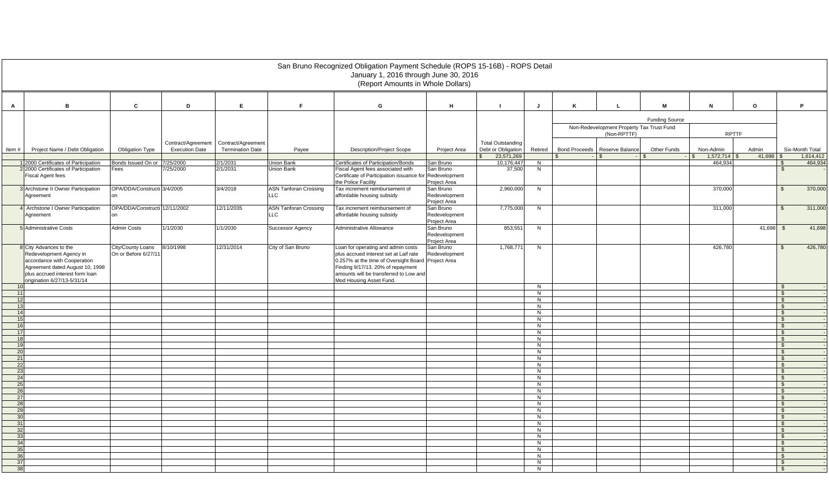|                 |                                                                              |                                           |                                             |                                              |                                 | San Bruno Recognized Obligation Payment Schedule (ROPS 15-16B) - ROPS Detail                 |                               |                                                |                     |                      |                                                          |                       |              |              |                                     |  |  |  |
|-----------------|------------------------------------------------------------------------------|-------------------------------------------|---------------------------------------------|----------------------------------------------|---------------------------------|----------------------------------------------------------------------------------------------|-------------------------------|------------------------------------------------|---------------------|----------------------|----------------------------------------------------------|-----------------------|--------------|--------------|-------------------------------------|--|--|--|
|                 |                                                                              |                                           |                                             |                                              |                                 | January 1, 2016 through June 30, 2016<br>(Report Amounts in Whole Dollars)                   |                               |                                                |                     |                      |                                                          |                       |              |              |                                     |  |  |  |
|                 |                                                                              |                                           |                                             |                                              |                                 |                                                                                              |                               |                                                |                     |                      |                                                          |                       |              |              |                                     |  |  |  |
| $\mathbf{A}$    | B                                                                            | $\mathbf{c}$                              | D                                           | E.                                           | F.                              | G                                                                                            | H                             |                                                | $\mathbf{J}$        | K                    | $\mathbf{L}$                                             | M                     | N            | $\mathbf{o}$ | P.                                  |  |  |  |
|                 |                                                                              |                                           |                                             |                                              |                                 |                                                                                              |                               |                                                |                     |                      |                                                          | <b>Funding Source</b> |              |              |                                     |  |  |  |
|                 |                                                                              |                                           |                                             |                                              |                                 |                                                                                              |                               |                                                |                     |                      | Non-Redevelopment Property Tax Trust Fund<br>(Non-RPTTF) |                       | <b>RPTTF</b> |              |                                     |  |  |  |
| Item#           | Project Name / Debt Obligation                                               | <b>Obligation Type</b>                    | Contract/Agreement<br><b>Execution Date</b> | Contract/Agreemen<br><b>Termination Date</b> | Payee                           | <b>Description/Project Scope</b>                                                             | Project Area                  | <b>Total Outstanding</b><br>Debt or Obligation | Retired             | <b>Bond Proceeds</b> | Reserve Balance                                          | Other Funds           | Non-Admin    | Admin        | Six-Month Total                     |  |  |  |
|                 |                                                                              |                                           |                                             |                                              |                                 |                                                                                              |                               | 23,571,269                                     |                     |                      |                                                          |                       | 1,572,714    | $41,698$ \$  | 1,614,412                           |  |  |  |
|                 | 1 2000 Certificates of Participation<br>2 2000 Certificates of Participation | Bonds Issued On or 7/25/2000<br>Fees      | 7/25/2000                                   | 2/1/2031<br>2/1/2031                         | <b>Union Bank</b><br>Union Bank | Certificates of Participation/Bonds<br>Fiscal Agent fees associated with                     | San Bruno<br>San Bruno        | 10,176,447<br>37,500                           | N<br>N              |                      |                                                          |                       | 464,934      |              | 464,934<br><b>\$</b>                |  |  |  |
|                 | <b>Fiscal Agent fees</b>                                                     |                                           |                                             |                                              |                                 | Certificate of Participation issuance for<br>the Police Facility                             | Redevelopment<br>Project Area |                                                |                     |                      |                                                          |                       |              |              |                                     |  |  |  |
|                 | 3 Archstone II Owner Participation                                           | OPA/DDA/Constructi 3/4/2005               |                                             | 3/4/2018                                     | <b>ASN Tanforan Crossing</b>    | Tax increment reimbursement of                                                               | San Bruno                     | 2,960,000                                      | N                   |                      |                                                          |                       | 370,000      |              | 370,000<br>$\mathbb{S}$             |  |  |  |
|                 | Agreement                                                                    |                                           |                                             |                                              | <b>LLC</b>                      | affordable housing subsidy                                                                   | Redevelopment<br>Project Area |                                                |                     |                      |                                                          |                       |              |              |                                     |  |  |  |
|                 | 4 Archstone I Owner Participation                                            | OPA/DDA/Constructi 12/11/2002             |                                             | 12/11/2035                                   | <b>ASN Tanforan Crossing</b>    | Tax increment reimbursement of                                                               | San Bruno                     | 7,775,000                                      | N                   |                      |                                                          |                       | 311,000      |              | 311,000<br>$\mathbb{S}$             |  |  |  |
|                 | Agreement                                                                    |                                           |                                             |                                              | <b>LLC</b>                      | affordable housing subsidy                                                                   | Redevelopment<br>Project Area |                                                |                     |                      |                                                          |                       |              |              |                                     |  |  |  |
|                 | 5 Administrative Costs                                                       | <b>Admin Costs</b>                        | 1/1/2030                                    | 1/1/2030                                     | Successor Agency                | Administrative Allowance                                                                     | San Bruno<br>Redevelopment    | 853,551                                        | N                   |                      |                                                          |                       |              | 41,698       | 41,698<br>- \$                      |  |  |  |
|                 | 8 City Advances to the                                                       |                                           | 8/10/1998                                   | 12/31/2014                                   |                                 | Loan for operating and admin costs                                                           | Project Area<br>San Bruno     |                                                | N                   |                      |                                                          |                       | 426,780      |              | 426,780<br>$\mathbf{s}$             |  |  |  |
|                 | Redevelopment Agency in<br>accordance with Cooperation                       | City/County Loans<br>On or Before 6/27/11 |                                             |                                              | City of San Bruno               | plus accrued interest set at Laif rate<br>0.257% at the time of Oversight Board Project Area | Redevelopment                 | 1,768,77                                       |                     |                      |                                                          |                       |              |              |                                     |  |  |  |
|                 | Agreement dated August 10, 1998<br>plus accrued interest form loan           |                                           |                                             |                                              |                                 | Finding 9/17/13. 20% of repayment<br>amounts will be transferred to Low and                  |                               |                                                |                     |                      |                                                          |                       |              |              |                                     |  |  |  |
|                 | origination 6/27/13-5/31/14                                                  |                                           |                                             |                                              |                                 | Mod Housing Asset Fund.                                                                      |                               |                                                |                     |                      |                                                          |                       |              |              |                                     |  |  |  |
| 10              |                                                                              |                                           |                                             |                                              |                                 |                                                                                              |                               |                                                | N                   |                      |                                                          |                       |              |              | $\mathcal{L}$                       |  |  |  |
| 11<br>12        |                                                                              |                                           |                                             |                                              |                                 |                                                                                              |                               |                                                | N<br>N              |                      |                                                          |                       |              |              | $\mathbb{S}$<br><b>S</b>            |  |  |  |
| 13              |                                                                              |                                           |                                             |                                              |                                 |                                                                                              |                               |                                                | N                   |                      |                                                          |                       |              |              | $\mathbb{S}$                        |  |  |  |
| 14              |                                                                              |                                           |                                             |                                              |                                 |                                                                                              |                               |                                                | N                   |                      |                                                          |                       |              |              | $\mathbb{S}$                        |  |  |  |
| 15              |                                                                              |                                           |                                             |                                              |                                 |                                                                                              |                               |                                                | N                   |                      |                                                          |                       |              |              | <b>S</b>                            |  |  |  |
| 16<br>17        |                                                                              |                                           |                                             |                                              |                                 |                                                                                              |                               |                                                | z                   |                      |                                                          |                       |              |              | $\mathbf{\$}$                       |  |  |  |
| 18              |                                                                              |                                           |                                             |                                              |                                 |                                                                                              |                               |                                                | N<br>N              |                      |                                                          |                       |              |              | $\mathbb{S}$<br>$\mathbb{S}$        |  |  |  |
| 19              |                                                                              |                                           |                                             |                                              |                                 |                                                                                              |                               |                                                | $\overline{N}$      |                      |                                                          |                       |              |              | $\mathbb{S}$                        |  |  |  |
| 20              |                                                                              |                                           |                                             |                                              |                                 |                                                                                              |                               |                                                | N                   |                      |                                                          |                       |              |              | $\mathbb{S}$                        |  |  |  |
| 21              |                                                                              |                                           |                                             |                                              |                                 |                                                                                              |                               |                                                | N                   |                      |                                                          |                       |              |              | <b>S</b>                            |  |  |  |
| 22<br>23        |                                                                              |                                           |                                             |                                              |                                 |                                                                                              |                               |                                                | N<br>$\overline{N}$ |                      |                                                          |                       |              |              | $\mathbb{S}$<br>$\mathbb{S}$        |  |  |  |
| 24              |                                                                              |                                           |                                             |                                              |                                 |                                                                                              |                               |                                                | N                   |                      |                                                          |                       |              |              | <b>S</b>                            |  |  |  |
| 25              |                                                                              |                                           |                                             |                                              |                                 |                                                                                              |                               |                                                | $\overline{N}$      |                      |                                                          |                       |              |              | $\mathbb{S}$                        |  |  |  |
| 26              |                                                                              |                                           |                                             |                                              |                                 |                                                                                              |                               |                                                | N                   |                      |                                                          |                       |              |              | <b>S</b>                            |  |  |  |
| 27              |                                                                              |                                           |                                             |                                              |                                 |                                                                                              |                               |                                                | N                   |                      |                                                          |                       |              |              | <b>S</b>                            |  |  |  |
| 28<br>29        |                                                                              |                                           |                                             |                                              |                                 |                                                                                              |                               |                                                | $\overline{N}$<br>N |                      |                                                          |                       |              |              | $\mathbf{\hat{s}}$<br>$\mathbf{\$}$ |  |  |  |
| 30 <sup>1</sup> |                                                                              |                                           |                                             |                                              |                                 |                                                                                              |                               |                                                | N                   |                      |                                                          |                       |              |              | $\mathbb{S}$                        |  |  |  |
| 31              |                                                                              |                                           |                                             |                                              |                                 |                                                                                              |                               |                                                | Ż                   |                      |                                                          |                       |              |              | $\mathbb{S}$                        |  |  |  |
| 32              |                                                                              |                                           |                                             |                                              |                                 |                                                                                              |                               |                                                | N                   |                      |                                                          |                       |              |              | <b>S</b>                            |  |  |  |
| 33              |                                                                              |                                           |                                             |                                              |                                 |                                                                                              |                               |                                                | N                   |                      |                                                          |                       |              |              | <b>S</b>                            |  |  |  |
| 34<br>35        |                                                                              |                                           |                                             |                                              |                                 |                                                                                              |                               |                                                | $\overline{N}$<br>N |                      |                                                          |                       |              |              | $\mathbb{S}$<br><b>S</b>            |  |  |  |
| 36              |                                                                              |                                           |                                             |                                              |                                 |                                                                                              |                               |                                                | N                   |                      |                                                          |                       |              |              | $\mathbb{S}$                        |  |  |  |
| 37              |                                                                              |                                           |                                             |                                              |                                 |                                                                                              |                               |                                                | $\overline{N}$      |                      |                                                          |                       |              |              | $\mathbf{s}$                        |  |  |  |
| 38              |                                                                              |                                           |                                             |                                              |                                 |                                                                                              |                               |                                                | N                   |                      |                                                          |                       |              |              | <b>S</b>                            |  |  |  |
|                 |                                                                              |                                           |                                             |                                              |                                 |                                                                                              |                               |                                                |                     |                      |                                                          |                       |              |              |                                     |  |  |  |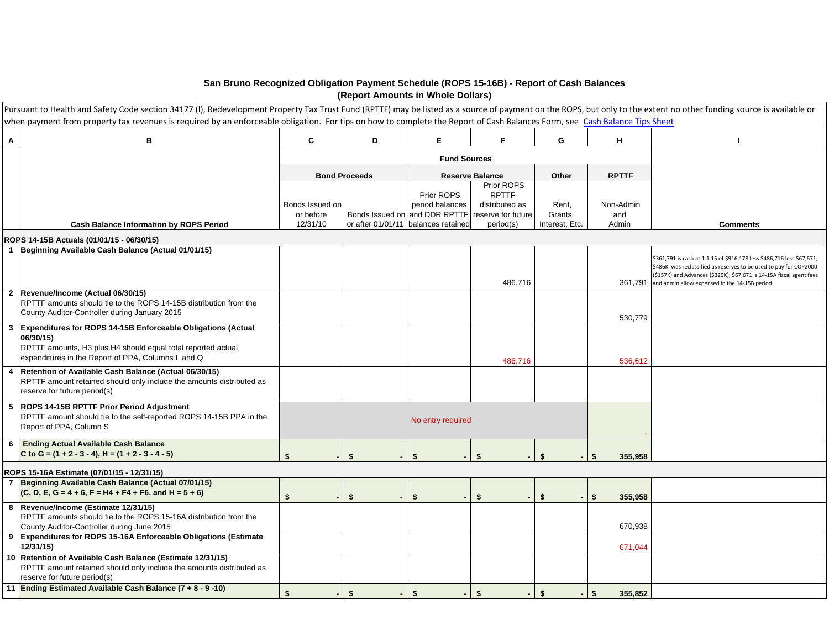## **San Bruno Recognized Obligation Payment Schedule (ROPS 15-16B) - Report of Cash Balances (Report Amounts in Whole Dollars)**

|   | Pursuant to Health and Safety Code section 34177 (I), Redevelopment Property Tax Trust Fund (RPTTF) may be listed as a source of payment on the ROPS, but only to the extent no other funding source is available or |                 |                      |                                     |                                              |                |                         |                                                                                                                                                                                                                                                                             |
|---|----------------------------------------------------------------------------------------------------------------------------------------------------------------------------------------------------------------------|-----------------|----------------------|-------------------------------------|----------------------------------------------|----------------|-------------------------|-----------------------------------------------------------------------------------------------------------------------------------------------------------------------------------------------------------------------------------------------------------------------------|
|   | when payment from property tax revenues is required by an enforceable obligation. For tips on how to complete the Report of Cash Balances Form, see Cash Balance Tips Sheet                                          |                 |                      |                                     |                                              |                |                         |                                                                                                                                                                                                                                                                             |
| A | В                                                                                                                                                                                                                    | C               | D                    | E.                                  | F                                            | G              | н                       |                                                                                                                                                                                                                                                                             |
|   |                                                                                                                                                                                                                      |                 |                      | <b>Fund Sources</b>                 |                                              |                |                         |                                                                                                                                                                                                                                                                             |
|   |                                                                                                                                                                                                                      |                 | <b>Bond Proceeds</b> |                                     | <b>Reserve Balance</b>                       | Other          | <b>RPTTF</b>            |                                                                                                                                                                                                                                                                             |
|   |                                                                                                                                                                                                                      | Bonds Issued on |                      | Prior ROPS<br>period balances       | Prior ROPS<br><b>RPTTF</b><br>distributed as | Rent,          | Non-Admin               |                                                                                                                                                                                                                                                                             |
|   |                                                                                                                                                                                                                      | or before       |                      | Bonds Issued on and DDR RPTTF       | reserve for future                           | Grants,        | and                     |                                                                                                                                                                                                                                                                             |
|   | <b>Cash Balance Information by ROPS Period</b>                                                                                                                                                                       | 12/31/10        |                      | or after 01/01/11 balances retained | period(s)                                    | Interest. Etc. | Admin                   | <b>Comments</b>                                                                                                                                                                                                                                                             |
|   | ROPS 14-15B Actuals (01/01/15 - 06/30/15)                                                                                                                                                                            |                 |                      |                                     |                                              |                |                         |                                                                                                                                                                                                                                                                             |
|   | 1 Beginning Available Cash Balance (Actual 01/01/15)                                                                                                                                                                 |                 |                      |                                     |                                              |                |                         |                                                                                                                                                                                                                                                                             |
|   |                                                                                                                                                                                                                      |                 |                      |                                     | 486,716                                      |                |                         | \$361,791 is cash at 1.1.15 of \$916,178 less \$486,716 less \$67,671;<br>3486K was reclassified as reserves to be used to pay for COP2000<br>(\$157K) and Advances (\$329K); \$67,671 is 14-15A fiscal agent fees<br>361,791 and admin allow expensed in the 14-15B period |
|   | 2 Revenue/Income (Actual 06/30/15)                                                                                                                                                                                   |                 |                      |                                     |                                              |                |                         |                                                                                                                                                                                                                                                                             |
|   | RPTTF amounts should tie to the ROPS 14-15B distribution from the<br>County Auditor-Controller during January 2015                                                                                                   |                 |                      |                                     |                                              |                | 530,779                 |                                                                                                                                                                                                                                                                             |
|   | 3 Expenditures for ROPS 14-15B Enforceable Obligations (Actual<br>06/30/15)                                                                                                                                          |                 |                      |                                     |                                              |                |                         |                                                                                                                                                                                                                                                                             |
|   | RPTTF amounts, H3 plus H4 should equal total reported actual<br>expenditures in the Report of PPA, Columns L and Q                                                                                                   |                 |                      |                                     | 486,716                                      |                | 536,612                 |                                                                                                                                                                                                                                                                             |
| 4 | Retention of Available Cash Balance (Actual 06/30/15)<br>RPTTF amount retained should only include the amounts distributed as<br>reserve for future period(s)                                                        |                 |                      |                                     |                                              |                |                         |                                                                                                                                                                                                                                                                             |
|   | 5 ROPS 14-15B RPTTF Prior Period Adjustment<br>RPTTF amount should tie to the self-reported ROPS 14-15B PPA in the<br>Report of PPA, Column S                                                                        |                 |                      | No entry required                   |                                              |                |                         |                                                                                                                                                                                                                                                                             |
| 6 | <b>Ending Actual Available Cash Balance</b>                                                                                                                                                                          |                 |                      |                                     |                                              |                |                         |                                                                                                                                                                                                                                                                             |
|   | C to G = $(1 + 2 - 3 - 4)$ , H = $(1 + 2 - 3 - 4 - 5)$                                                                                                                                                               | \$              | \$                   | \$                                  | \$                                           | \$             | 355,958<br>-\$          |                                                                                                                                                                                                                                                                             |
|   | ROPS 15-16A Estimate (07/01/15 - 12/31/15)                                                                                                                                                                           |                 |                      |                                     |                                              |                |                         |                                                                                                                                                                                                                                                                             |
|   | 7 Beginning Available Cash Balance (Actual 07/01/15)                                                                                                                                                                 |                 |                      |                                     |                                              |                |                         |                                                                                                                                                                                                                                                                             |
|   | $(C, D, E, G = 4 + 6, F = H4 + F4 + F6, and H = 5 + 6)$                                                                                                                                                              | \$              | \$                   | \$                                  | \$.                                          | \$             | 355,958<br>S.           |                                                                                                                                                                                                                                                                             |
|   | 8 Revenue/Income (Estimate 12/31/15)<br>RPTTF amounts should tie to the ROPS 15-16A distribution from the<br>County Auditor-Controller during June 2015                                                              |                 |                      |                                     |                                              |                | 670,938                 |                                                                                                                                                                                                                                                                             |
|   | 9 Expenditures for ROPS 15-16A Enforceable Obligations (Estimate<br>12/31/15)                                                                                                                                        |                 |                      |                                     |                                              |                | 671,044                 |                                                                                                                                                                                                                                                                             |
|   | 10 Retention of Available Cash Balance (Estimate 12/31/15)<br>RPTTF amount retained should only include the amounts distributed as<br>reserve for future period(s)                                                   |                 |                      |                                     |                                              |                |                         |                                                                                                                                                                                                                                                                             |
|   | 11 Ending Estimated Available Cash Balance (7 + 8 - 9 -10)                                                                                                                                                           | \$              | \$                   | \$                                  | \$                                           | \$             | $\mathbf{s}$<br>355.852 |                                                                                                                                                                                                                                                                             |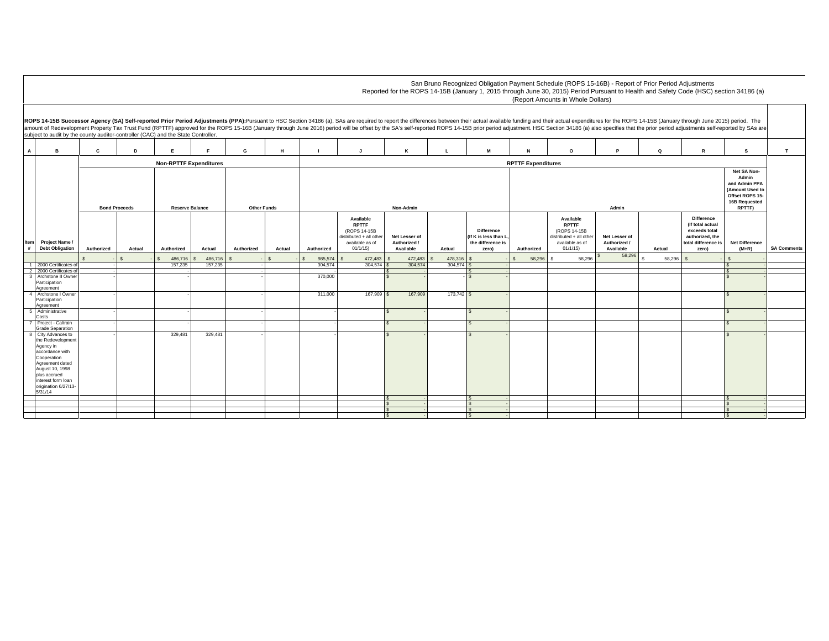|                                                                                                                                                                                                                                                                                                                                                                                                                                                                                                                                                       |                                                |                |                               |         |            |                    |                           |                                                                                                    |                                            |              |                                                                         |            | San Bruno Recognized Obligation Payment Schedule (ROPS 15-16B) - Report of Prior Period Adjustments<br>Reported for the ROPS 14-15B (January 1, 2015 through June 30, 2015) Period Pursuant to Health and Safety Code (HSC) section 34186 (a)<br>(Report Amounts in Whole Dollars) |                                                                                                               |          |                                                                                                           |                                  |                    |  |
|-------------------------------------------------------------------------------------------------------------------------------------------------------------------------------------------------------------------------------------------------------------------------------------------------------------------------------------------------------------------------------------------------------------------------------------------------------------------------------------------------------------------------------------------------------|------------------------------------------------|----------------|-------------------------------|---------|------------|--------------------|---------------------------|----------------------------------------------------------------------------------------------------|--------------------------------------------|--------------|-------------------------------------------------------------------------|------------|------------------------------------------------------------------------------------------------------------------------------------------------------------------------------------------------------------------------------------------------------------------------------------|---------------------------------------------------------------------------------------------------------------|----------|-----------------------------------------------------------------------------------------------------------|----------------------------------|--------------------|--|
| ROPS 14-15B Successor Agency (SA) Self-reported Prior Period Adjustments (PPA):Pursuant to HSC Section 34186 (a), SAs are required to report the differences between their actual available funding and their actual expenditu<br>amount of Redevelopment Property Tax Trust Fund (RPTTF) approved for the ROPS 15-16B (January through June 2016) period will be offset by the SA's self-reported ROPS 14-15B prior period adjustment. HSC Section 34186 (a) al<br>subject to audit by the county auditor-controller (CAC) and the State Controller. |                                                |                |                               |         |            |                    |                           |                                                                                                    |                                            |              |                                                                         |            |                                                                                                                                                                                                                                                                                    |                                                                                                               |          |                                                                                                           |                                  |                    |  |
| $\overline{A}$<br>B                                                                                                                                                                                                                                                                                                                                                                                                                                                                                                                                   | c                                              | D              | Е.                            |         | G          | H                  |                           | $\overline{a}$                                                                                     | ĸ                                          | L            | M                                                                       | N          | $\Omega$                                                                                                                                                                                                                                                                           | P                                                                                                             | $\Omega$ | R                                                                                                         | s                                | T                  |  |
|                                                                                                                                                                                                                                                                                                                                                                                                                                                                                                                                                       |                                                |                | <b>Non-RPTTF Expenditures</b> |         |            |                    | <b>RPTTF Expenditures</b> |                                                                                                    |                                            |              |                                                                         |            |                                                                                                                                                                                                                                                                                    |                                                                                                               |          |                                                                                                           |                                  |                    |  |
|                                                                                                                                                                                                                                                                                                                                                                                                                                                                                                                                                       | <b>Bond Proceeds</b><br><b>Reserve Balance</b> |                |                               |         |            | <b>Other Funds</b> | Non-Admin                 |                                                                                                    |                                            |              |                                                                         |            |                                                                                                                                                                                                                                                                                    | Net SA Non-<br>Admin<br>and Admin PPA<br>(Amount Used to<br>Offset ROPS 15-<br><b>16B Requested</b><br>RPTTF) |          |                                                                                                           |                                  |                    |  |
| Item<br>Project Name /<br>#<br><b>Debt Obligation</b>                                                                                                                                                                                                                                                                                                                                                                                                                                                                                                 | Authorized                                     | Actual         | Authorized                    | Actual  | Authorized | Actual             | Authorized                | Available<br><b>RPTTF</b><br>(ROPS 14-15B<br>distributed + all other<br>available as of<br>01/1/15 | Net Lesser of<br>Authorized /<br>Available | Actual       | <b>Difference</b><br>(If K is less than L<br>the difference is<br>zero) | Authorized | Available<br><b>RPTTF</b><br>(ROPS 14-15B<br>distributed + all other<br>available as of<br>01/1/15                                                                                                                                                                                 | Net Lesser of<br>Authorized /<br>Available                                                                    | Actual   | <b>Difference</b><br>(If total actual<br>exceeds total<br>authorized, the<br>total difference is<br>zero) | <b>Net Difference</b><br>$(M+R)$ | <b>SA Comments</b> |  |
|                                                                                                                                                                                                                                                                                                                                                                                                                                                                                                                                                       |                                                | $\mathfrak{S}$ | 486,716                       | 486,716 |            |                    | 985,574                   | 472,483                                                                                            | 472,483                                    | 478,316      |                                                                         | 58,296     | 58.296                                                                                                                                                                                                                                                                             | 58,296                                                                                                        | 58,296   | $\mathcal{S}$                                                                                             |                                  |                    |  |
| 1 2000 Certificates o<br>2 2000 Certificates of                                                                                                                                                                                                                                                                                                                                                                                                                                                                                                       |                                                |                | 157,235                       | 157.235 |            |                    | 304.574                   | $304.574$ S                                                                                        | 304.574                                    | 304.574      |                                                                         |            |                                                                                                                                                                                                                                                                                    |                                                                                                               |          |                                                                                                           |                                  |                    |  |
| 3 Archstone II Owner                                                                                                                                                                                                                                                                                                                                                                                                                                                                                                                                  |                                                |                |                               |         |            |                    | 370,000                   |                                                                                                    | $\sim$                                     |              |                                                                         |            |                                                                                                                                                                                                                                                                                    |                                                                                                               |          |                                                                                                           |                                  |                    |  |
| Participation<br>Agreement                                                                                                                                                                                                                                                                                                                                                                                                                                                                                                                            |                                                |                |                               |         |            |                    |                           |                                                                                                    |                                            |              |                                                                         |            |                                                                                                                                                                                                                                                                                    |                                                                                                               |          |                                                                                                           |                                  |                    |  |
| 4 Archstone I Owner                                                                                                                                                                                                                                                                                                                                                                                                                                                                                                                                   |                                                |                |                               |         |            |                    | 311,000                   | 167,909 \$                                                                                         | 167,909                                    | $173,742$ \$ |                                                                         |            |                                                                                                                                                                                                                                                                                    |                                                                                                               |          |                                                                                                           |                                  |                    |  |
| Participation                                                                                                                                                                                                                                                                                                                                                                                                                                                                                                                                         |                                                |                |                               |         |            |                    |                           |                                                                                                    |                                            |              |                                                                         |            |                                                                                                                                                                                                                                                                                    |                                                                                                               |          |                                                                                                           |                                  |                    |  |
| Agreement<br>5 Administrative                                                                                                                                                                                                                                                                                                                                                                                                                                                                                                                         |                                                |                |                               |         |            |                    |                           |                                                                                                    | $\overline{\mathbf{s}}$                    |              | S.                                                                      |            |                                                                                                                                                                                                                                                                                    |                                                                                                               |          |                                                                                                           |                                  |                    |  |
| Costs                                                                                                                                                                                                                                                                                                                                                                                                                                                                                                                                                 |                                                |                |                               |         |            |                    |                           |                                                                                                    |                                            |              |                                                                         |            |                                                                                                                                                                                                                                                                                    |                                                                                                               |          |                                                                                                           |                                  |                    |  |
| 7 Project - Caltrain<br><b>Grade Separation</b>                                                                                                                                                                                                                                                                                                                                                                                                                                                                                                       |                                                |                |                               |         |            |                    |                           |                                                                                                    | $\mathbf{s}$                               |              |                                                                         |            |                                                                                                                                                                                                                                                                                    |                                                                                                               |          |                                                                                                           |                                  |                    |  |
| 8 City Advances to<br>the Redevelopment<br>Agency in<br>accordance with                                                                                                                                                                                                                                                                                                                                                                                                                                                                               |                                                |                | 329,481                       | 329,481 |            |                    |                           |                                                                                                    | $\mathbf{s}$                               |              |                                                                         |            |                                                                                                                                                                                                                                                                                    |                                                                                                               |          |                                                                                                           |                                  |                    |  |
| Cooperation<br>Agreement dated<br>August 10, 1998                                                                                                                                                                                                                                                                                                                                                                                                                                                                                                     |                                                |                |                               |         |            |                    |                           |                                                                                                    |                                            |              |                                                                         |            |                                                                                                                                                                                                                                                                                    |                                                                                                               |          |                                                                                                           |                                  |                    |  |
| plus accrued<br>interest form loan<br>origination 6/27/13-<br>5/31/14                                                                                                                                                                                                                                                                                                                                                                                                                                                                                 |                                                |                |                               |         |            |                    |                           |                                                                                                    |                                            |              |                                                                         |            |                                                                                                                                                                                                                                                                                    |                                                                                                               |          |                                                                                                           |                                  |                    |  |
|                                                                                                                                                                                                                                                                                                                                                                                                                                                                                                                                                       |                                                |                |                               |         |            |                    |                           |                                                                                                    | $\mathsf{s}$                               |              |                                                                         |            |                                                                                                                                                                                                                                                                                    |                                                                                                               |          |                                                                                                           |                                  |                    |  |
|                                                                                                                                                                                                                                                                                                                                                                                                                                                                                                                                                       |                                                |                |                               |         |            |                    |                           |                                                                                                    | $\overline{\mathbf{s}}$                    |              | $\mathcal{L}$                                                           |            |                                                                                                                                                                                                                                                                                    |                                                                                                               |          |                                                                                                           |                                  |                    |  |
|                                                                                                                                                                                                                                                                                                                                                                                                                                                                                                                                                       |                                                |                |                               |         |            |                    |                           |                                                                                                    |                                            |              |                                                                         |            |                                                                                                                                                                                                                                                                                    |                                                                                                               |          |                                                                                                           |                                  |                    |  |